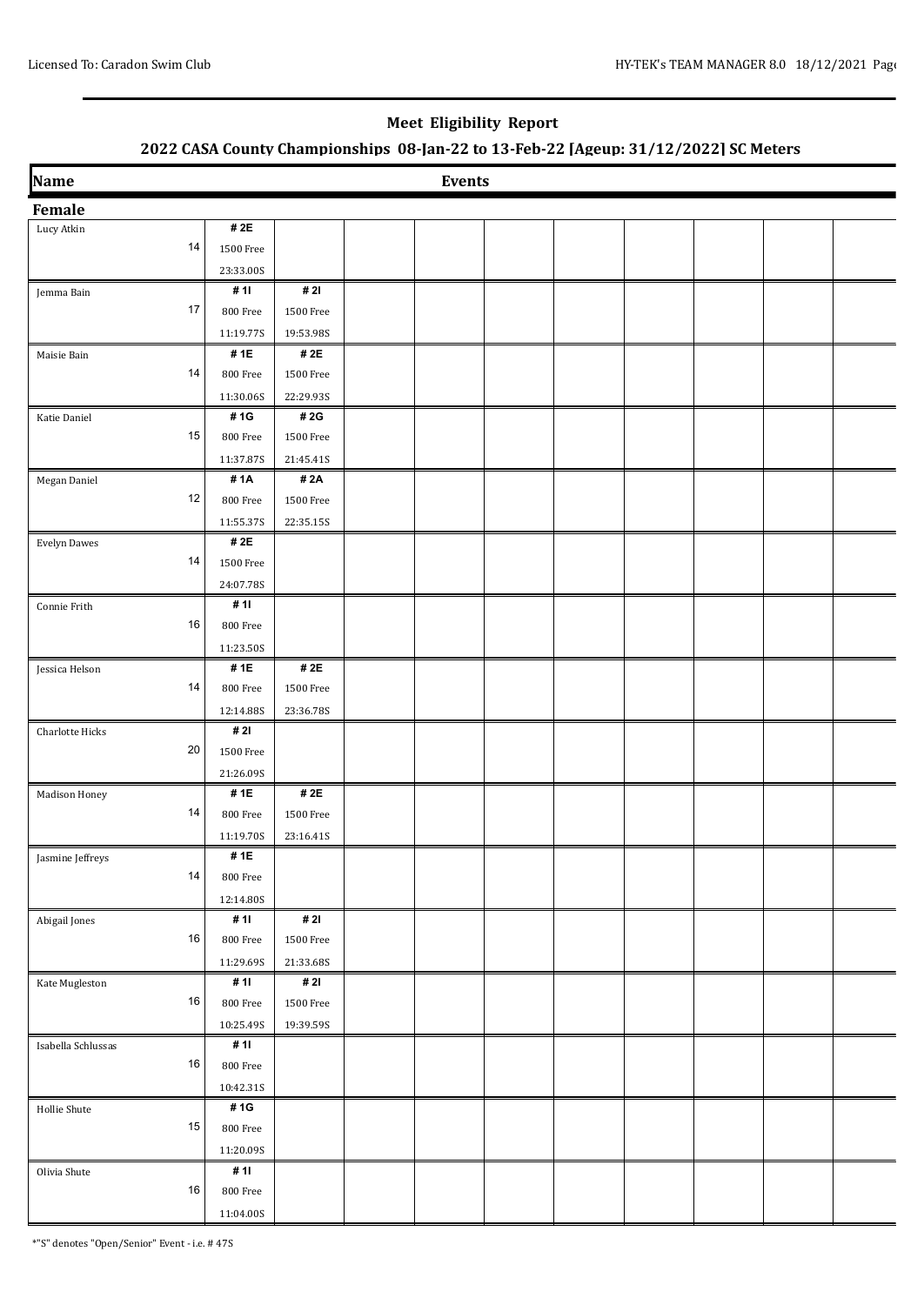## **Meet Eligibility Report 2022 CASA County Championships 08-Jan-22 to 13-Feb-22 [Ageup: 31/12/2022] SC Meters**

| Name               |                      |                       | <b>Events</b> |  |  |  |
|--------------------|----------------------|-----------------------|---------------|--|--|--|
| Female             |                      |                       |               |  |  |  |
| Lucy Atkin         | # 2E                 |                       |               |  |  |  |
| 14                 | 1500 Free            |                       |               |  |  |  |
|                    | 23:33.00S            |                       |               |  |  |  |
| Jemma Bain         | # 11                 | # 2I                  |               |  |  |  |
| 17                 | 800 Free             | $1500\ \mathrm{Free}$ |               |  |  |  |
|                    | 11:19.77S            | 19:53.98S             |               |  |  |  |
| Maisie Bain        | # 1E                 | # $2E$                |               |  |  |  |
| 14                 | 800 Free             | 1500 Free             |               |  |  |  |
|                    | 11:30.06S            | 22:29.93S             |               |  |  |  |
| Katie Daniel       | #1G                  | # 2G                  |               |  |  |  |
| 15                 | 800 Free             | <b>1500 Free</b>      |               |  |  |  |
|                    |                      |                       |               |  |  |  |
|                    | 11:37.87S            | 21:45.41S             |               |  |  |  |
| Megan Daniel<br>12 | #1A                  | # 2A                  |               |  |  |  |
|                    | $800\,\mathrm{Free}$ | <b>1500 Free</b>      |               |  |  |  |
|                    | 11:55.37S            | 22:35.15S             |               |  |  |  |
| Evelyn Dawes       | # 2E                 |                       |               |  |  |  |
| 14                 | 1500 Free            |                       |               |  |  |  |
|                    | 24:07.78S            |                       |               |  |  |  |
| Connie Frith       | # 11                 |                       |               |  |  |  |
| 16                 | 800 Free             |                       |               |  |  |  |
|                    | 11:23.50S            |                       |               |  |  |  |
| Jessica Helson     | #1E                  | # 2E                  |               |  |  |  |
| 14                 | 800 Free             | <b>1500 Free</b>      |               |  |  |  |
|                    | 12:14.88S            | 23:36.78S             |               |  |  |  |
| Charlotte Hicks    | # 2I                 |                       |               |  |  |  |
| 20                 | 1500 Free            |                       |               |  |  |  |
|                    | 21:26.09S            |                       |               |  |  |  |
| Madison Honey      | #1E                  | # 2E                  |               |  |  |  |
| 14                 | $800\,\mathrm{Free}$ | <b>1500 Free</b>      |               |  |  |  |
|                    | 11:19.70S            | 23:16.415             |               |  |  |  |
| Jasmine Jeffreys   | #1 $E$               |                       |               |  |  |  |
| 14                 | 800 Free             |                       |               |  |  |  |
|                    | 12:14.80S            |                       |               |  |  |  |
| Abigail Jones      | # 11                 | # 2I                  |               |  |  |  |
| 16                 | 800 Free             | <b>1500 Free</b>      |               |  |  |  |
|                    | 11:29.69S            | 21:33.68S             |               |  |  |  |
| Kate Mugleston     | # 11                 | # 2I                  |               |  |  |  |
| 16                 | $800\,\mathrm{Free}$ | <b>1500 Free</b>      |               |  |  |  |
|                    | 10:25.49S            | 19:39.59S             |               |  |  |  |
| Isabella Schlussas | # 11                 |                       |               |  |  |  |
| 16                 | $800\,\mathrm{Free}$ |                       |               |  |  |  |
|                    | 10:42.31S            |                       |               |  |  |  |
| Hollie Shute       | #1G                  |                       |               |  |  |  |
| 15                 | 800 Free             |                       |               |  |  |  |
|                    |                      |                       |               |  |  |  |
|                    | 11:20.09S<br># 11    |                       |               |  |  |  |
| Olivia Shute<br>16 | 800 Free             |                       |               |  |  |  |
|                    |                      |                       |               |  |  |  |
|                    | 11:04.00S            |                       |               |  |  |  |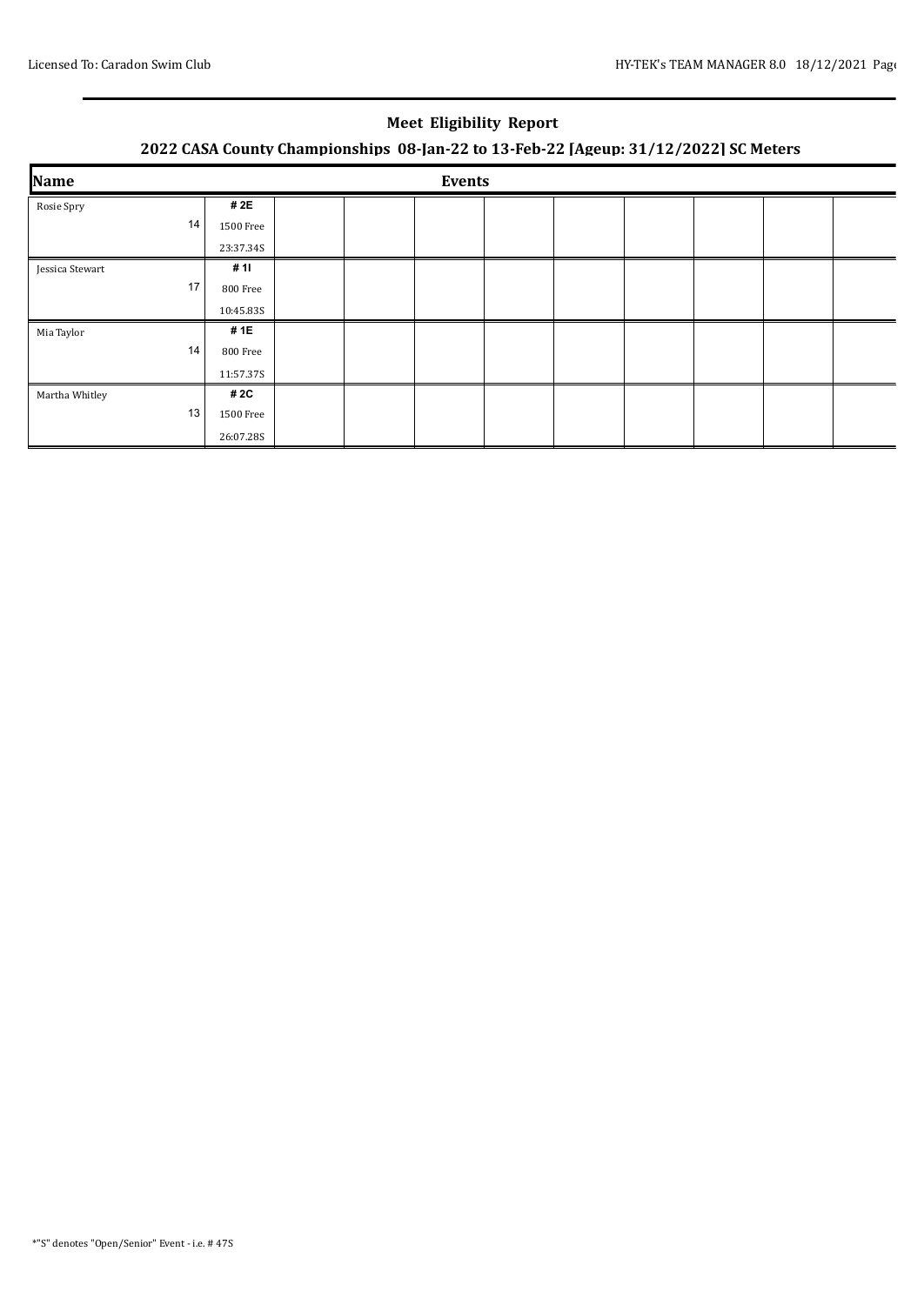## **Meet Eligibility Report 2022 CASA County Championships 08-Jan-22 to 13-Feb-22 [Ageup: 31/12/2022] SC Meters**

| Name            | <b>Events</b> |  |  |  |  |  |  |  |  |  |
|-----------------|---------------|--|--|--|--|--|--|--|--|--|
| Rosie Spry      | #2E           |  |  |  |  |  |  |  |  |  |
| 14              | 1500 Free     |  |  |  |  |  |  |  |  |  |
|                 | 23:37.34S     |  |  |  |  |  |  |  |  |  |
| Jessica Stewart | # 11          |  |  |  |  |  |  |  |  |  |
| 17              | 800 Free      |  |  |  |  |  |  |  |  |  |
|                 | 10:45.83S     |  |  |  |  |  |  |  |  |  |
| Mia Taylor      | #1E           |  |  |  |  |  |  |  |  |  |
| 14              | 800 Free      |  |  |  |  |  |  |  |  |  |
|                 | 11:57.37S     |  |  |  |  |  |  |  |  |  |
| Martha Whitley  | # 2C          |  |  |  |  |  |  |  |  |  |
| 13              | 1500 Free     |  |  |  |  |  |  |  |  |  |
|                 | 26:07.28S     |  |  |  |  |  |  |  |  |  |